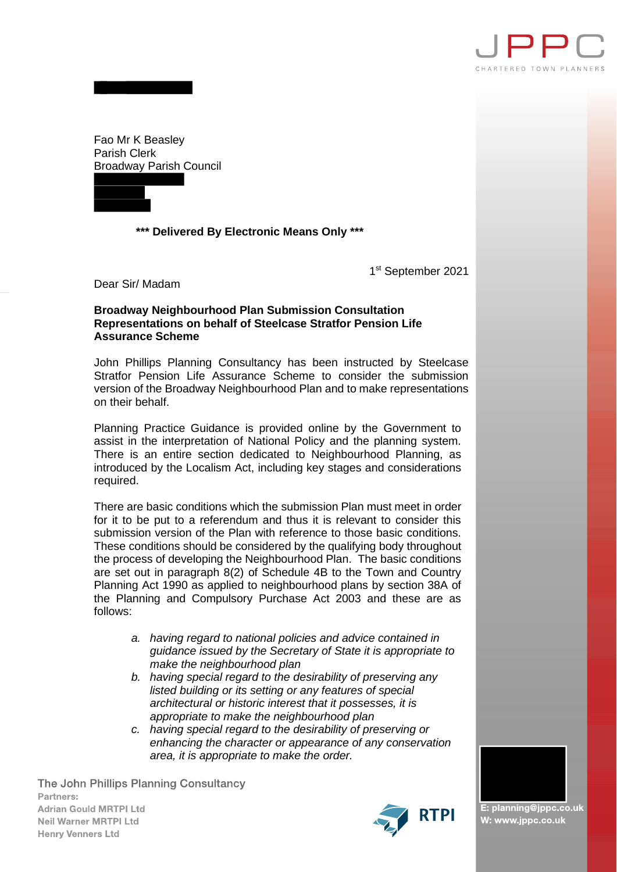

Fao Mr K Beasley Parish Clerk Broadway Parish Council



 **\*\*\* Delivered By Electronic Means Only \*\*\***

1 st September 2021

Dear Sir/ Madam

## **Broadway Neighbourhood Plan Submission Consultation Representations on behalf of Steelcase Stratfor Pension Life Assurance Scheme**

John Phillips Planning Consultancy has been instructed by Steelcase Stratfor Pension Life Assurance Scheme to consider the submission version of the Broadway Neighbourhood Plan and to make representations on their behalf.

Planning Practice Guidance is provided online by the Government to assist in the interpretation of National Policy and the planning system. There is an entire section dedicated to Neighbourhood Planning, as introduced by the Localism Act, including key stages and considerations required.

There are basic conditions which the submission Plan must meet in order for it to be put to a referendum and thus it is relevant to consider this submission version of the Plan with reference to those basic conditions. These conditions should be considered by the qualifying body throughout the process of developing the Neighbourhood Plan. The basic conditions are set out in paragraph 8(2) of Schedule 4B to the Town and Country Planning Act 1990 as applied to neighbourhood plans by section 38A of the Planning and Compulsory Purchase Act 2003 and these are as follows:

- *a. having regard to national policies and advice contained in guidance issued by the Secretary of State it is appropriate to make the neighbourhood plan*
- *b. having special regard to the desirability of preserving any listed building or its setting or any features of special architectural or historic interest that it possesses, it is appropriate to make the neighbourhood plan*
- *c. having special regard to the desirability of preserving or enhancing the character or appearance of any conservation area, it is appropriate to make the order.*

The John Phillips Planning Consultancy Partners: **Adrian Gould MRTPI Ltd Neil Warner MRTPI Ltd Henry Venners Ltd** 



E: planning@jppc.co.uk W: www.jppc.co.uk